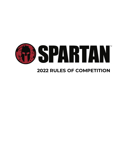

# **RULES OF COMPETITION**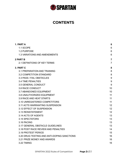

## **CONTENTS**

| 1. PART A                                   | 6               |
|---------------------------------------------|-----------------|
| 1.1 SCOPE                                   | 6               |
| 1.2 PURPOSE                                 | 6               |
| <b>1.3 VARIATIONS AND AMENDMENTS</b>        | $6\phantom{1}6$ |
| 2 PART B                                    | $\overline{7}$  |
| 2.1 DEFINITIONS OF KEY TERMS                | $\overline{7}$  |
| 3. PART C                                   | 8               |
| 3.1 PREPARATION AND TRAINING                | 8               |
| 3.2 COMPETITION STANDARD                    | 8               |
| 3.3 PASS / FAIL OBSTACLES                   | 9               |
| <b>3.4 TIME PENALTIES</b>                   | 9               |
| <b>3.5 GENERAL CONDUCT</b>                  | 9               |
| 3.6 RACE CONDUCT                            | 10              |
| 3.7 ABANDONED EQUIPMENT                     | 10              |
| 3.8 UNAUTHORIZED EQUIPMENT                  | 11              |
| 3.9 RACE AND HEAT STARTS                    | 11              |
| 3.10 UNREGISTERED COMPETITORS               | 11              |
| 3.11 ACTS WARRANTING SUSPENSION             | 12              |
| 3.12 EFFECT OF SUSPENSION                   | 12              |
| 3.13 REINSTATEMENT                          | 12              |
| 3.14 ACTS OF AGENTS                         | 13              |
| 3.15 SPECTATORS                             | 13              |
| 3.16 PACING                                 | 13              |
| 3.17 GENERAL OBSTACLE GUIDELINES            | 13              |
| 3.18 POST RACE REVIEW AND PENALTIES         | 14              |
| 3.19 PROTEST PERIOD                         | 15              |
| 3.20 DRUG TESTING AND ANTI-DOPING SANCTIONS | 16              |
| 3.21 PRIZE MONEY AND AWARDS                 | 16              |
| 3.22 TIMING                                 | 16              |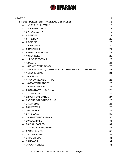

| 4 PART D                                                | 18 |
|---------------------------------------------------------|----|
| <b>4.1 MULTIPLE ATTEMPT PASS/FAIL OBSTACLES</b>         | 18 |
| 4.1.1 4', 5', 6', 7', 8' WALLS                          | 18 |
| 4.1.2 A-FRAME CARGO                                     | 18 |
| 4.1.3 ATLAS CARRY                                       | 19 |
| 4.1.4 BENDER                                            | 19 |
| 4.1.5 THE BOX                                           | 20 |
| 4.1.6 BRIDGE                                            | 20 |
| 4.1.7 FIRE JUMP                                         | 20 |
| 4.1.8 GAUNTLET                                          | 21 |
| 4.1.9 HERCULES HOIST                                    | 21 |
| 4.1.10 HURDLES                                          | 22 |
| 4.1.11 INVERTED WALL                                    | 22 |
| 4.1.12 O.U.T.                                           | 23 |
| 4.1.13 PLATE / TIRE DRAG                                | 23 |
| 4.1.14 ROLLING MUD, WATER MOATS, TRENCHES, ROLLING SNOW | 24 |
| 4.1.15 ROPE CLIMB                                       | 24 |
| 4.1.16 SLIP WALL                                        | 25 |
| 4.1.17 SNOW QUARTER-PIPE                                | 25 |
| 4.1.18 SPARTAN LADDER                                   | 26 |
| 4.1.19 SPARTAN SLED                                     | 26 |
| 4.1.20 STAIRWAY TO SPARTA                               | 27 |
| <b>4.1.21 TIRE FLIP</b>                                 | 27 |
| 4.1.22 VERTICAL CARGO                                   | 27 |
| 4.1.23 VERTICAL CARGO PLUS                              | 28 |
| 4.1.24 AIR BIKE                                         | 28 |
| 4.1.25 HAY WALL                                         | 29 |
| 4.1.26 LOG FLIP                                         | 29 |
| 4.1.27 10' WALL                                         | 30 |
| 4.1.28 SPARTAN COLUMNS                                  | 30 |
| 4.1.29 SLAM BALL                                        | 31 |
| 4.1.30 IRISH TABLES                                     | 31 |
| 4.1.31 WEIGHTED BURPEE                                  | 32 |
| 4.1.32 BOX JUMPS                                        | 32 |
| 4.1.33 JUMP ROPE                                        | 33 |
| 4.1.34 PUSH-UPS                                         | 34 |
| 4.1.35 ROWER                                            | 34 |
| 4.1.36 CAR HURDLE                                       | 34 |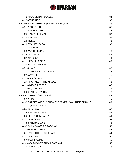

| 4.1.37 POLICE BARRICADES                                         | 34 |
|------------------------------------------------------------------|----|
| 4.1.38 TIRE HOP                                                  | 35 |
| <b>4.2 SINGLE ATTEMPT PASS/FAIL OBSTACLES</b>                    | 36 |
| 4.2.1 ADDUCTOR                                                   | 36 |
| 4.2.2 APE HANGER                                                 | 36 |
| 4.2.3 BALANCE BEAM                                               | 37 |
| 4.2.4 BEATER                                                     | 38 |
| $4.2.5$ HELIX                                                    | 38 |
| 4.2.6 MONKEY BARS                                                | 39 |
| 4.2.7 MULTI-RIG                                                  | 40 |
| 4.2.8 MULTI-RIG PLUS                                             | 40 |
| 4.2.9 OLYMPUS                                                    | 41 |
| <b>4.2.10 PIPE LAIR</b>                                          | 41 |
| 4.2.11 ROLLING EPIC                                              | 42 |
| 4.2.12 SPEAR THROW                                               | 42 |
| 4.2.13 TWISTER                                                   | 43 |
| 4.2.14 TYROLEAN TRAVERSE                                         | 44 |
| 4.2.15 Z WALL                                                    | 45 |
| 4.2.16 SLACKLINE                                                 | 45 |
| 4.2.17 MONKEY IN THE MIDDLE                                      | 46 |
| 4.2.18 MEMORY TEST                                               | 47 |
| 4.2.19 LOW RIDER                                                 | 47 |
| 4.2.20 TARZAN SWING                                              | 48 |
| <b>4.3 MANDATORY OBSTACLES</b>                                   | 49 |
| 4.3.1 ARMER                                                      | 49 |
| 4.3.2 BARBED WIRE / CORD / SCRIM NET LOW / TUBE CRAWLS           | 49 |
| 4.3.3 BUCKET CARRY                                               | 49 |
| 4.3.4 DUNK WALL                                                  | 50 |
| 4.3.5 FARMERS CARRY                                              | 51 |
| 4.3.6 JERRY CAN CARRY                                            | 51 |
| 4.3.7 LOG CARRY                                                  | 52 |
| 4.3.8 SANDBAG CARRY                                              | 53 |
| 4.3.9 SWIM / WATER CROSSING                                      | 53 |
| 4.3.10 CHAIN CARRY                                               | 54 |
| 4.3.11 WEIGHTED LOW CRAWL                                        | 54 |
| 4.3.12 LILY PADS                                                 | 55 |
| 4.3.13 CLIFF CLIMB                                               | 56 |
| 4.3.14 CARGO NET GROUND CRAWL                                    | 56 |
| 4.3.15 STONE CARRY                                               | 56 |
| V <sub>21.1</sub><br>SPARTAN 2022 Rules of Competition<br>Page 4 |    |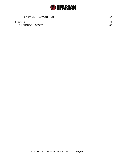

<span id="page-4-0"></span>

| 4.3.16 WEIGHTED VEST RUN | 57 |
|--------------------------|----|
| 5 PART E                 | 59 |
| 5.1 CHANGE HISTORY       | 59 |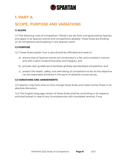

## **1. PART A**

## **SCOPE, PURPOSE AND VARIATIONS**

## <span id="page-5-0"></span>**1.1 SCOPE**

1.1.1 The following rules of competition ("Rules") are set forth and governed by Spartan and apply to all Spartan events and competitions globally. These Rules are binding on all competitors participating in any Spartan event.

## <span id="page-5-1"></span>**1.2 PURPOSE**

1.2.1 These Rules explain how a race should be officiated and seek to:

- a) ensure that all Spartan events are conducted in a fair and consistent manner and with a spirit of sportsmanship and integrity; and
- b) provide clear guidelines to facilitate globally standardized competition; and
- c) protect the health, safety, and well-being of competitors so far as this objective can be reasonably achieved in the sport of obstacle course racing.

## <span id="page-5-2"></span>**1.3 VARIATIONS AND AMENDMENTS**

1.3.1 Spartan may from time to time change these Rules and make further Rules in its absolute discretion.

1.3.2 The English language version of these Rules shall be controlling in all respects and shall prevail in case of any inconsistencies with translated versions, if any.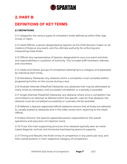

## <span id="page-6-0"></span>**2. PART B**

## **DEFINITIONS OF KEY TERMS**

## <span id="page-6-1"></span>**2.1 DEFINITIONS**

2.1.1 Categories: the various types of competitor levels defined as either Elite, Age Group, or Open.

2.1.2 Head Official: a person designated by Spartan as the chief decision maker on all matters of Rules at any event, and the ultimate authority for enforcing and interpreting these Rules.

2.1.3 Official: Any representative of Spartan designated to carry out event activities and responsibilities in a position of authority. This includes staff members, referees, and volunteers.

2.1.4 Heats and Waves: groups of competitors belonging to a category and separated by individual start times.

2.1.5 Mandatory Obstacles: any obstacle which a competitor must complete before progressing further on the course during a race.

2.1.6 Multiple Attempt (Pass/Fail) Obstacles: any obstacles that may be attempted as many times as necessary until successful completion or a penalty is awarded.

2.1.7 Single Attempt (Pass/Fail) Obstacles: any obstacle where once a competitor has committed to an attempt as defined within the specific rules for that obstacle, the obstacle must be completed successfully or a penalty will be awarded.

2.1.8 Referee: a Spartan appointed official tasked to ensure that all Rules are adhered to, usually posted at obstacles and in the video review tent, reporting to the Head Official.

2.1.9 Race Director: the Spartan appointed person responsible for the overall operations and execution of a Spartan event.

2.1.10 Truss: the main supporting structure of an obstacle typically seen as metal tubed diagonal, vertical, and horizontal load bearing beams & supports.

2.1.11 Timing and Results: the finish times of competitors in any particular race, and their overall position in their respective Category of competition.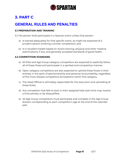

## <span id="page-7-0"></span>**3. PART C**

## **GENERAL RULES AND PENALTIES**

## <span id="page-7-1"></span>**3.1 PREPARATION AND TRAINING**

3.1.1 No person shall participate in a Spartan event unless that person:

- a) Is trained adequately for that specific event, as might be expected of a prudent person entering a similar competition; and
- b) Is in excellent health based on recent training, physical and other medical examinations, if any, and generally accepted standards of good health.

## <span id="page-7-2"></span>**3.2 COMPETITION STANDARD**

- a) All Elite and Age Group category competitors are expected to explicitly follow all of these Rules and participate in a spirited and competitive manner.
- b) Open category competitors are also expected to uphold these Rules in their entirety in the spirit of sportsmanship and personal accountability, regardless of the more relaxed competitive atmosphere within this category.
- c) The Head Official is ultimately responsible for the execution and upholding of these Rules.
- d) Any competitor that fails to start in their assigned heat start time may receive a time penalty or be disqualified.
- e) All Age Group competitors must participate and compete in the Age Group division corresponding to each competitor's age at the end of the calendar year.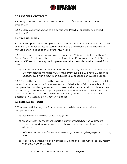

## <span id="page-8-0"></span>**3.3 PASS / FAIL OBSTACLES**

3.3.1 Single Attempt obstacles are considered Pass/Fail obstacles as defined in Section 2.1.6.

3.3.2 Multiple attempt obstacles are considered Pass/Fail obstacles as defined in Section 2.1.5.

## <span id="page-8-1"></span>**3.4 TIME PENALTIES**

3.4.1 Any competitor who completes 19 burpees or less at Sprint, Super, Beast or Ultra events or 9 burpees or less at Stadion events at a single obstacle shall have a 10 minute penalty added to their overall finish time.

3.4.2 Each time a competitor completes fewer than 30 burpees but more than 19 at Sprint, Super, Beast and Ultra events and fewer than 15 but more than 9 at Stadion events, a 30 second penalty per burpee missed shall be added to their overall finish time.

a) For example, John completes a 26 burpee penalty at a Sprint, thus completing 4 fewer than the mandatory 30 for this event type. He will have 120 seconds added to his finish time, which equates to 30 seconds per missed burpee.

3.4.3 During the race or during the post-race review period prior to the awards, if it is determined that a competitor attempted and failed a Pass/Fail obstacle but did not complete the mandatory number of burpees or alternative penalty (such as a crawl or run loop), a 10 minute time penalty shall be added to their overall finish time. If the number of burpees missed is able to be accurately counted, then the penalty described in 3.4.2 may be retroactively applied.

## <span id="page-8-2"></span>**3.5 GENERAL CONDUCT**

3.5.1 When participating in a Spartan event and while on an event site, all competitors must:

- a) act in compliance with these Rules; and
- b) treat all fellow competitors, Spartan staff members, Spartan volunteers, spectators, and members of the public with fairness, respect and courtesy at all times; and
- c) refrain from the use of abusive, threatening, or insulting language or conduct; and
- d) report any personal violation of these Rules to the Head Official or voluntarily withdraw from the event.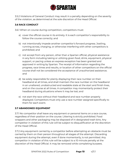

3.5.2 Violations of General Conduct may result in a penalty depending on the severity of the violation, as determined at the sole discretion of the Head Official.

## <span id="page-9-0"></span>**3.6 RACE CONDUCT**

3.6.1 When on course during competition, competitors must:

- a) cover the official course in its entirety. It is each competitor's responsibility to follow the course correctly; and
- b) not intentionally impede another competitor's forward progress. Jostling, running across, charging, or otherwise interfering with other competitors is prohibited; and
- c) not accept from any person, other than a Spartan official, physical assistance in any form including taking or utilizing given food, drink, equipment, physical support, or pacing unless an express exception has been granted and approved in writing by Spartan. The receipt of information regarding the progress, race times and results, or location of other competitors on the official course shall not be considered the acceptance of unauthorized assistance; and
- d) be solely responsible for plainly displaying their race number on their headband at all times, and shall maintain the race number on the headband in an unaltered, unobstructed and readable state at the start and finish lines, and on the course at all times. A competitor may momentarily protect their headband during situations where it may be lost; and
- e) not start the race without their headband and race number properly displayed. Competitors must only use a race number assigned specifically to them for each event.

## <span id="page-9-1"></span>**3.7 ABANDONED EQUIPMENT**

3.7.1 No competitor shall leave any equipment or personal items on a race course, regardless of their position on the course. Littering is strictly prohibited. Food wrappers and other packaging may be disposed of in designated trash bins. Any competitor in violation of this rule will be subject to disqualification at the discretion of the Head Official.

3.7.2 Any equipment carried by a competitor before attempting an obstacle must be carried by them on their person throughout all stages of the attempt. Discarding equipment during the attempt, even if done momentarily, is not permitted. Any competitor in violation of this rule will be subject to a 10 minute penalty at the discretion of the Head Official. It may be removed while completing burpees.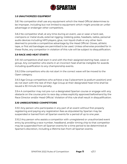

## **3.8 UNAUTHORIZED EQUIPMENT**

3.8.1 No competitor shall use any equipment which the Head Official determines to be improper, including but not limited to equipment which might provide an unfair advantage or endanger other competitors.

3.8.2 No competitor shall, at any time during an event, use or wear a hard cast, crampons or metal studs, external rigging, trekking poles, headsets, radios, personal audio devices including MP3 players, glue, non liquid chalk or any other item deemed to provide a competitive advantage by the Head Official. Gloves, athletic tape, or first aid bandages are permitted to be used. Unless otherwise provided for in these Rules, any competitor in violation of this rule will be subject to disqualification.

## **3.9 RACE AND HEAT STARTS**

3.9.1 All competitors shall start in and with the their assigned starting heat, wave or group. Any competitor who starts in an incorrect heat shall be ineligible for awards including qualification to any championship events.

3.9.2 Elite competitors who do not start in the correct wave will be moved to the Open category.

3.9.3 Age Group competitors who achieve a top 3 placement (a podium position) and do not start with the rest of their Age Group at their designated heat time shall be issued a 30 minute time penalty.

3.9.4 A competitor may not pre-run a designated Spartan course or engage with any obstacle on the course prior to race day unless explicitly approved beforehand by the Race Director and/or Head Official. Violation of this rule shall result in disqualification.

## <span id="page-10-1"></span><span id="page-10-0"></span>**3.10 UNREGISTERED COMPETITORS**

3.10.1 Any person who participates in any part of an event without first properly registering and paying any registration fees as stipulated by Spartan may be suspended or barred from all Spartan events for a period of up to one year.

<span id="page-10-2"></span>3.10.2 Any person who assists a competitor with unregistered or unauthorized event entry by providing a race number, headband, and/or timing chip to that competitor may be suspended from all Spartan events for a time period to be determined at Spartan's discretion, including a lifetime ban from all Spartan events.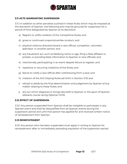

## <span id="page-11-0"></span>**3.11 ACTS WARRANTING SUSPENSION**

<span id="page-11-1"></span>3.11.1 In addition to other penalties outlined in these Rules which may be imposed at the discretion of Spartan, the following acts may be grounds for suspension for a period of time designated by Spartan at its discretion:

- a) flagrant or willful violation of the Competitive Rules; and
- b) gross or continued unsportsmanlike conduct; and
- c) physical violence directed toward a race official, competitor, volunteer, spectator, or another person; and
- d) any fraudulent act, such as falsifying name or age, filing a false affidavit or protest, or providing false information to Spartan or race officials; and
- e) intentionally participating in an event despite failure to register; and
- f) repetitive or recurring violations of the Rules; and
- g) failure to notify a race official after withdrawing from a race; and
- h) violation of the Anti Doping Rules set forth in Section 3.19; and
- i) refusal to abide by the final determination and judgement by Spartan of any matter relating to these Rules; and
- j) any act which disgraces or brings discredit to Spartan or the sport of Spartan obstacle course racing (Spartan OCR).

## **3.12 EFFECT OF SUSPENSION**

3.12.1 Any person suspended from Spartan shall be ineligible to participate in any Spartan event and shall be disqualified from all Spartan events during the suspension period and until that person has applied for and received written notice of reinstatement from Spartan.

## **3.13 REINSTATEMENT**

3.13.1 Any person who has been suspended must apply in writing to Spartan for reinstatement after or immediately preceding expiration of the suspension period.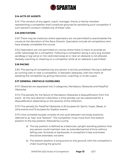

## **3.14 ACTS OF AGENTS**

3.14.1 The conduct of any agent, coach, manager, friend, or family member representing a competitor shall constitute grounds for penalizing such competitor if such person's conduct violates any of these rules.

## **3.15 SPECTATORS**

3.15.1 There may be instances where spectators are not permitted to stand beside the course at the discretion of the Race Director. Spectators include all competitors who have already completed the course.

3.15.2 Spectators are not permitted on course where there is intent to provide an unfair advantage for a competitor. Following a competitor along a carry (e.g. bucket, sandbag or log carry) or into restricted areas at or near an obstacle is not allowed. Verbally coaching or cheering on a competitor while at an obstacle is permitted.

## **3.16 PACING**

3.16.1 The pacing of competitors by any person is strictly prohibited. Pacing is defined as running with or near a competitor, in between obstacles, with the intent of assisting the competitor by giving instruction, coaching, or to set a pace.

## **3.17 GENERAL OBSTACLE GUIDELINES**

3.17.1 Obstacles are separated into 2 categories, Mandatory Obstacles and Pass/Fail Obstacles.

3.17.2 The penalty for the failure of Mandatory Obstacles is disqualification from the event. At the race director's discretion a time penalty can be substituted for a disqualification depending on the severity of the infraction.

3.17.3 The penalty for Pass/Fail Obstacles is 30 burpees for Sprint, Super, Beast, or Ultra events and 15 burpees for Stadion events.

3.17.4 One complete burpee consists of one cycle between two body positions, referred to as "top" and "bottom". The competitor must move from the bottom position to the top position, followed by a jump.

- a) The top position is defined as a balanced, upright standing position that any person could maintain over an extended period of time without falling over, forwards or backwards. A competitor's hips and knees should be extended, not bent.
- b) The bottom position is lying prone on the ground, with the competitor's chest touching the ground.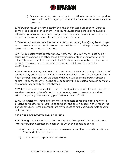

c) Once a competitor returns to the top position from the bottom position, they should perform a jump with their hands extended upwards above their ears.

3.17.5 Burpees must be completed within the designated burpee zone. Burpees completed outside of the zone will not count towards the burpee penalty. Race officials may designate additional burpee zones in cases where a burpee zone no longer has room, or to separate categories of competitors.

3.17.6 Alternative obstacle failure penalties (such as penalty loops) may be employed at certain obstacles at specific events. These will be described in pre-race briefings or by the volunteers at these obstacles.

3.17.7 All obstacles must be attempted. An attempt, at a minimum, is defined by touching the obstacle. In other cases it may include entering the water or other difficult terrain, to get to the obstacle itself. Such terrain cannot be bypassed via a penalty, unless advised as acceptable in pre-race briefings or by race day staff/volunteers.

3.17.8 Competitors may only strike bells present on any obstacle using their arms and hands, or any other part of their body above their chest. Using feet, legs, or knees to "kick" the bell is not allowed. Violation of this rule will be considered an obstacle failure. The competitor will not be allowed to retry the obstacle, and must complete the mandatory penalty for that obstacle.

3.17.9 In the case of obstacle failure caused by significant physical interference from another competitor, the affected competitor may restart the obstacle with no additional penalty after receiving permission from an Official.

3.17.10 Obstacles may have different male and female completion options. Where present, competitors are required to complete the option based on their registered gender category. Female competitors may choose to forgo using a female specific kicker or step.

## <span id="page-13-1"></span><span id="page-13-0"></span>**3.18 POST RACE REVIEW AND PENALTIES**

3.18.1 During post race review, a time penalty shall be imposed for each missed or improper burpee executed by a competitor, with the penalties being:

- a) 30 seconds per missed burpee up to 5 minutes or 10 reps for a Sprint, Super, Beast and Ultra events; and
- b) 2.5 minutes or 5 reps at Stadion events.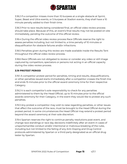

3.18.2 If a competitor misses more than 10 burpees at a single obstacle at Sprint, Super, Beast and Ultra events, or 5 burpees at Stadion events, they shall have a 10 minute penalty added to their finish time.

3.18.3 Prior to race results being considered final, an official video review process should take place. Because of this, an event's final results may not be posted on-site immediately, pending the outcome of this official review.

3.18.4 During the official video review process Race Officials reserve the right to assess penalties including, but not limited to, a time penalty of 10 minutes or disqualification for obstacle failures and/or infractions.

3.18.5 Penalties given during this review are made available inside the Results Tent throughout the official video review process.

3.18.6 Race Officials are not obligated to review or consider any video or still image captured by competitors, spectators or persons not acting in an official capacity during the video review process.

## **3.19 PROTEST PERIOD**

3.19.1 A competitor protest period for penalties, timing and results, disqualifications, or other penalties issued starts immediately after a competitor crosses the finish line and ends 15 minutes prior to the official award ceremony time for their respective Category.

3.19.2 It is each competitor's sole responsibility to check for any penalties administered to them by the Head Official, up to 15 minutes prior to the official awards ceremony for their Category, in the event they would like to protest any such penalties.

3.19.3 Any protest a competitor may wish to raise regarding penalties, or other issues that affect the outcome of the race, must be brought to the Head Official during the protest period. In some circumstances the Head Official may extend a protest period beyond the award ceremony at their sole discretion.

3.19.4 Spartan reserves the right to continue penalty resolutions post-event, and change race standings or race day decisions indefinitely after an event in cases of unsportsmanlike conduct and/or intentional or malicious breaking of the rules, including but not limited to the failing of any Anti-Doping and Drug Control protocols administered by Spartan or a third party designated as an official drug tester by Spartan.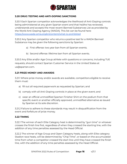

## **3.20 DRUG TESTING AND ANTI-DOPING SANCTIONS**

3.20.1 Each Spartan competitor acknowledges the likelihood of Anti-Doping controls being administered at any given Spartan event and that he/she has reviewed, understands and accepts the most recent Banned Substances List as provided by the World Anti-Doping Agency (WADA). This list can be found here: <https://www.wada-ama.org/en/content/what-is-prohibited>

3.20.2 Any Spartan competitor who returns a positive test for a WADA Banned Substance may be given the following sanctions by Spartan:

- a) First offense: two year ban from all Spartan events.
- b) Second offense: lifetime ban from all Spartan events.

3.20.3 Any Elite and/or Age Group athlete with questions or concerns, including TUE requests, should contact Spartan Customer Service in the United States at us@spartan.com.

## <span id="page-15-1"></span><span id="page-15-0"></span>**3.21 PRIZE MONEY AND AWARDS**

3.21.1 Where prize money and/or awards are available, competitors eligible to receive them must:

- a) fill out all required paperwork as requested by Spartan; and
- b) comply with all Anti-Doping controls in place at the given event; and
- c) wear an official unmodified Spartan Finisher Shirt on the podium from that specific event or another officially approved, unmodified alternative as issued by Spartan at its sole discretion.

3.21.2 Failure to adhere to these standards may result in disqualification from the event and forfeiture of prize money.

## **3.22 TIMING**

3.22.1 The winner of each Elite Category heat is determined by "gun time" or whoever crosses the finish line first, regardless of when they crossed the starting line, with the addition of any time penalties assessed by the Head Official.

3.22.2 The winner of Age Group and Open Category heats, along with Elite category Stadion race heats, will be determined by "Chip Time", or based on the accumulated time from when a competitor crossed the start line until they have crossed the finish line, with the addition of any time penalties assessed by the Head Official.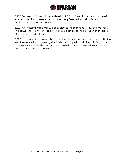

3.22.3 Competitor times will be validated by RFID timing chips. It is each competitor's sole responsibility to assure the chip is securely fastened to their wrist and worn across all checkpoints on course.

3.22.4 Any missing chip times will be subject to independent review and may result in a competitor being considered for disqualification, at the discretion of the Race Director and Head Official.

3.22.5 If a competitor's timing chip is lost, it must be immediately reported to Timing and Results staff upon crossing the finish. If a Competitor's timing chip is lost or a Checkpoint is not read by RFID, course marshals, may also be used to validate a competitor's "route" on course.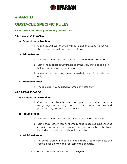

## <span id="page-17-0"></span>**4 PART D**

## **OBSTACLE SPECIFIC RULES**

## <span id="page-17-1"></span>**4.1 MULTIPLE ATTEMPT (PASS/FAIL) OBSTACLES**

## <span id="page-17-2"></span>**4.1.1 4', 5', 6', 7', 8' WALLS**

## a) **Competitor Instructions**

1. Climb up and over the wall without using the support bracing, the sides of the wall, flag poles, or straps.

## b) **Failure Modes**

- 1. Inability to climb over the wall and descend to the other side.
- 2. Using the support structure, sides of the wall, or straps to aid in balance, ascending or descending.
- 3. Male competitors using the red step designated for female use only.

## c) **Additional Notes**

1. The red step may be used by female athletes only.

## <span id="page-17-3"></span>**4.1.2 A-FRAME CARGO**

## **a) Competitor Instructions**

1. Climb up the obstacle, over the top, and down the other side using only the webbing, the horizontal truss at the base and peak, and any horizontal pipes for support.

## **b) Failure Modes**

- 1. Inability to climb over the obstacle and down the other side.
- 2. Using truss other than horizontally fixed pieces as support or as an aid in upward or downward momentum, such as the truss located on the side or middle of the structure.

## **c) Additional Notes**

1. Horizontal truss or supports are able to be used to complete the obstacle, for example the very top of the obstacle.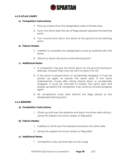

#### <span id="page-18-0"></span>**4.1.3 ATLAS CARRY**

#### **a) Competitor Instructions**

- 1. Pick up a stone from the designated male or female area.
- 2. Carry the stone past the set of flags placed opposite the starting point.
- 3. Turn around and return the stone to the ground at the starting point.

#### **b) Failure Modes**

- 1. Inability to complete the designated course as outlined with the stone.
- 2. Failure to return the stone to the starting point.

#### **c) Additional Notes**

- 1. A competitor may put the stone down on the ground during an attempt, however they may not roll it or allow it to roll.
- 2. If the stone is placed down or accidentally dropped, it must be picked up again at exactly the same spot. If the stone inadvertently moves after being placed down or accidentally dropped, it must be returned to exactly the same spot and picked up before the competitor may continue forward progress again.
- 3. All competitors must start behind the flags placed at the designated starting point.

## <span id="page-18-1"></span>**4.1.4 BENDER**

## **a) Competitor Instructions**

1. Climb up and over the obstacle and down the other side without using the support structure, straps, or flag poles.

#### **b) Failure Modes**

- 1. Inability to climb over the obstacle and down the other side.
- 2. Using the support structure, straps, or flag poles.

#### **c) Additional Notes**

1. Competitors may use their feet on the rungs.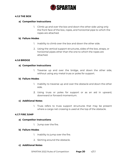

#### <span id="page-19-0"></span>**4.1.5 THE BOX**

#### **a) Competitor Instructions**

1. Climb up and over the box and down the other side using only the front face of the box, ropes, and horizontal pipe to which the ropes are attached.

#### **b) Failure Modes**

- 1. Inability to climb over the box and down the other side.
- 2. Using the vertical support structures, sides of the box, straps, or horizontal pipes other than the one to which the ropes are attached.

#### <span id="page-19-1"></span>**4.1.6 BRIDGE**

#### **a) Competitor Instructions**

1. Traverse up and over the bridge, and down the other side, without using any metal truss or poles for support.

#### **b) Failure Modes**

- 1. Inability to traverse up and over the obstacle and down the other side.
- 2. Using truss or poles for support or as an aid in upward, downward or forward momentum.

#### **c) Additional Notes**

1. Truss refers to truss support structures that may be present where a cargo net crossing is used at the top of the obstacle.

#### <span id="page-19-2"></span>**4.1.7 FIRE JUMP**

#### **a) Competitor Instructions**

- 1. Jump over the fire.
- **b) Failure Modes**
	- 1. Inability to jump over the fire.
	- 2. Skirting around the obstacle.

#### **c) Additional Notes**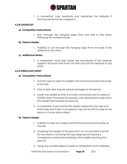

1. A competitor may backtrack and reattempt the obstacle if skirting was forced by congestion.

## <span id="page-20-0"></span>**4.1.8 GAUNTLET**

## **a) Competitor Instructions**

1. Run through the hanging bags from one side to the other, following the marked course.

## **b) Failure Modes**

1. Inability to run through the hanging bags from one side of the obstacle to the other.

## **c) Additional Notes**

1. A competitor must stay inside the boundaries of the obstacle support structure and must not skirt around the obstacle at any point.

#### <span id="page-20-1"></span>**4.1.9 HERCULES HOIST**

#### **a) Competitor Instructions**

- 1. Pull the rope to raise the weight until the knot touches the pulley at the top.
- 2. One or both feet may be used as leverage on the barrier.
- 3. Lower the weight so that it is under control and not in a state of freefall when it touches the ground, only releasing the rope when the weight has touched the ground.
- 4. A competitor must control the weight using only the rope and their body and limbs. A competitor may not tie off the rope to the barrier or to any other object.

#### **b) Failure Modes**

- 1. Inability to raise the weight until the knot touches the pulley at the top.
- 2. Dropping the weight to the ground in an uncontrolled manner for any reason, including the rope slipping and leaving a competitor's hands and resulting in the weight touching the ground.
- 3. Using any outside object to assist in completion of the obstacle,

SPARTAN 2022 Rules of Competition **Page 21** v21.1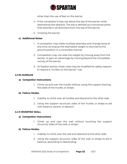

other than the use of feet on the barrier.

- 4. If the competitor's hips rise above the top of the barrier while attempting the obstacle. The top is defined as a horizontal plane that extends in all directions from the top of the barrier.
- 5. Crossing the barrier.

## **c) Additional Notes**

- 1. A competitor may make multiple attempts and change lanes at any time, as long as the attempted weight is returned to the ground position in a controlled manner.
- 2. Competitors may not raise the weight by moving away from the barrier, or gain an advantage by moving beyond the immediate vicinity of the barrier.
- 3. At Stadion events, these rules may be modified for safety reasons to require a "no feet on the barrier" rule.

## <span id="page-21-0"></span>**4.1.10 HURDLES**

## **a) Competitor Instructions**

1. Climb up and over the hurdle without using the support bracing, the sides of the hurdle, or straps.

#### **b) Failure Modes**

- 1. Inability to climb over all hurdles and descend to the other side.
- 2. Using the support structure, sides of the hurdle, or straps to aid with balance, ascent, or descent.

#### <span id="page-21-1"></span>**4.1.11 INVERTED WALL**

#### **a) Competitor Instructions**

1. Climb up and over the wall without touching the support structure, sides of the wall, or straps.

- 1. Inability to climb over the wall and descend to the other side.
- 2. Using the support structure, sides of the wall, or straps to aid in balance, ascending or descending.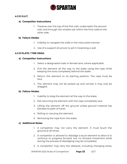

#### <span id="page-22-0"></span>**4.1.12 O.U.T.**

#### **a) Competitor Instructions**

1. Traverse over the top of the first wall, underneath the second wall, and through the window set within the final walls to the other side.

#### **b) Failure Modes**

- 1. Inability to navigate the walls in the instructed manner.
- 2. Use of a support structure to aid in traversing a wall.

#### <span id="page-22-1"></span>**4.1.13 PLATE / TIRE DRAG**

#### **a) Competitor Instructions**

- 1. Select a designated male or female lane, where applicable.
- 2. Pull the element all the way to the stake using the rope while keeping the torso completely behind the stake.
- 3. Return the element to its starting position. The rope must be taut.
- 4. The element may not be picked up and carried, it may only be dragged.

#### **b) Failure Modes**

- 1. Inability to drag the element all the way to the stake.
- 2. Not returning the element with the rope completely taut.
- 3. Lifting the element off the ground unless ground material has blocked its path of travel.
- 4. Rolling or carrying the element.
- 5. Removing the rope from the stake.

#### **c) Additional Notes**

- 1. A competitor may not carry the element. It must touch the ground at all times.
- 2. A competitor is allowed to dislodge a stuck element to allow it to continue to progress forward, but no forward movement while during the process of dislodging may be completed.
- 3. A competitor may retry the obstacle, including changing lanes,

SPARTAN 2022 Rules of Competition **Page 23** v21.1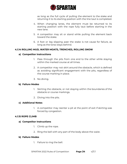

as long as the full cycle of pulling the element to the stake and returning it to its starting position with the line taut is completed.

- 4. When changing lanes, the element must be returned to its starting position with the rope fully taut before starting in the new lane.
- 5. A competitor may sit or stand while pulling the element back toward the stake.
- 6. A foot or leg slipping past the stake is not cause for failure, as long as the torso stays behind.

## <span id="page-23-0"></span>**4.1.14 ROLLING MUD, WATER MOATS, TRENCHES, ROLLING SNOW**

## **a) Competitor Instructions**

- 1. Pass through the pits from one end to the other while staying within the marked course at all times.
- 2. A competitor may not skirt around the obstacle, which is defined as avoiding significant engagement with the pits, regardless of the course marking in place.
- 3. No diving.

## **b) Failure Modes**

- 1. Skirting the obstacle, or not staying within the boundaries of the obstacle or course markings.
- 2. Diving into the pits.

## **c) Additional Notes**

1. A competitor may reenter a pit at the point of exit if skirting was forced by congestion.

## <span id="page-23-1"></span>**4.1.15 ROPE CLIMB**

## **a) Competitor Instructions**

- 1. Climb up the rope.
- 2. Ring the bell with any part of the body above the waist.

#### **b) Failure Modes**

1. Failure to ring the bell.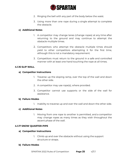

- 2. Ringing the bell with any part of the body below the waist.
- 3. Using more than one rope during a single attempt to complete the obstacle.

## **c) Additional Notes**

- 1. A competitor may change lanes (change ropes) at any time after returning to the ground and may continue to attempt the obstacle multiple times.
- 2. Competitors who attempt the obstacle multiple times should yield to other competitors attempting it for the first time, although this is not a mandatory requirement.
- 3. Competitors must return to the ground in a safe and controlled manner with at least one hand touching the rope at all times.

#### <span id="page-24-0"></span>**4.1.16 SLIP WALL**

#### **a) Competitor Instructions**

- 1. Traverse up the sloping ramp, over the top of the wall and down the other side.
- 2. A competitor may use rope(s), where provided.
- 3. Competitor cannot use supports or the side of the wall for assistance.

#### **b) Failure Modes**

1. Inability to traverse up and over the wall and down the other side.

## **c) Additional Notes**

1. Moving from one rope to another is permitted, and a competitor may change ropes as many times as they wish throughout the ascent phase of the wall.

#### <span id="page-24-1"></span>**4.1.17 SNOW QUARTER-PIPE**

#### **a) Competitor Instructions**

1. Climb up and over the obstacle without using the support structure or straps.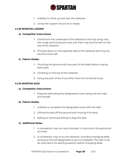

- 1. Inability to climb up and over the obstacle.
- 2. Using the support structure or straps.

#### <span id="page-25-0"></span>**4.1.18 SPARTAN LADDER**

#### **a) Competitor Instructions**

- 1. Climb from the underside of the obstacle to the top using only the rungs and horizontal truss, and then ring the first bell on the top of the obstacle.
- 2. Proceed down on the opposite side of the obstacle and ring the second, lower bell.

#### **b) Failure Modes**

- 1. Touching the ground with any part of the body before ringing both bells.
- 2. Climbing on the top of the obstacle.
- 3. Using any part of the truss other than the horizontal truss.

#### <span id="page-25-1"></span>**4.1.19 SPARTAN SLED**

#### **a) Competitor Instructions**

1. Drag the sled along the designated route using only the rope and handle.

#### **b) Failure Modes**

- 1. Inability to complete the designated route with the sled.
- 2. Lifting the sled off the ground and moving it forward.
- 3. Rolling or otherwise failing to drag the sled.

#### **c) Additional Notes**

- 1. A competitor may not carry the sled. It must touch the ground at all times.
- 2. A competitor may re-try the obstacle, including changing sleds, as long as the full designated route is completed. The sled must be returned to its starting position before changing sleds.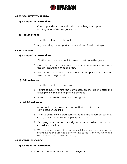

#### <span id="page-26-0"></span>**4.1.20 STAIRWAY TO SPARTA**

#### **a) Competitor Instructions**

1. Climb up and over the wall without touching the support bracing, sides of the wall, or straps.

#### **b) Failure Modes**

- 1. Inability to climb over the wall
- 2. Anyone using the support structure, sides of wall, or straps.

#### <span id="page-26-1"></span>**4.1.21 TIRE FLIP**

#### **a) Competitor Instructions**

- 1. Flip the tire over once until it comes to rest upon the ground.
- 2. Once the first flip is complete, release all physical contact with the tire, including hands and feet.
- 3. Flip the tire back over to its original starting point until it comes to rest upon the ground.

#### **b) Failure Modes**

- 1. Inability to flip the tire two times.
- 2. Failure to have the tire rest completely on the ground after the first flip while making no physical contact.
- 3. Failure to return the tire to it's starting point.

## **c) Additional Notes**

- 1. A competitor is considered committed to a tire once they have completed one full flip.
- 2. Prior to being considered committed to a tire, a competitor may change tires and make multiple flip attempts.
- 3. Dropping the tire accidentally or due to exhaustion is not considered a failure.
- 4. While engaging with the tire obstacle(s), a competitor may not stand inside the tire while attempting to flip it, and must engage with the tire from the outside only.

## <span id="page-26-2"></span>**4.1.22 VERTICAL CARGO**

#### **a) Competitor Instructions**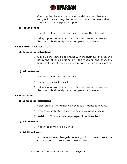

1. Climb up the obstacle, over the top, and down the other side using only the webbing, the horizontal truss at the base and top, and any horizontal pipes for support.

## **b) Failure Modes**

- 1. Inability to climb over the obstacle and down the other side.
- 2. Using supports other than the horizontal truss at the base and the top and horizontal pipes to complete the obstacle.

## <span id="page-27-0"></span>**4.1.23 VERTICAL CARGO PLUS**

## **a) Competitor Instructions**

1. Climb up the obstacle beginning with the shelf, over the top, and down the other side using only the webbing and shelf, the horizontal truss at the base and top, and any horizontal pipes for support.

## **b) Failure Modes**

- 1. Inability to climb over the obstacle.
- 2. Using the sides of the shelf.
- 3. Using supports other than the horizontal truss at the base and the top and horizontal pipes to complete the obstacle.

## **4.1.24 AIR BIKE**

## **a) Competitor Instructions**

- 1. Select an air bike and make any seat adjustments as needed.
- 2. Press the start button to start the calorie counting process.
- 3. Pedal until 15 calories of energy expenditure is reached.

## **b) Failure Modes**

1. Inability to complete 15 calories.

## **c) Additional Notes**

1. A competitor may change bikes at any point, however the calorie counter must be reset to 0 on the new bike.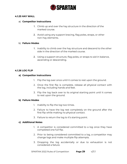

#### **4.1.25 HAY WALL**

#### a) **Competitor Instructions**

- 1. Climb up and over the hay structure in the direction of the marked course.
- 2. Avoid using any support bracing, flag poles, straps, or other non-hay elements.

## b) **Failure Modes**

- 1. Inability to climb over the hay structure and descend to the other side in the direction of the marked course.
- 2. Using a support structure, flag poles, or straps to aid in balance, ascending or descending.

## **4.1.26 LOG FLIP**

#### **a) Competitor Instructions**

- 1. Flip the log over once until it comes to rest upon the ground.
- 2. Once the first flip is complete, release all physical contact with the log, including hands and feet.
- 3. Flip the log back over to its original starting point until it comes to rest upon the ground.

#### **b) Failure Modes**

- 1. Inability to flip the log two times.
- 2. Failure to have the log rest completely on the ground after the first flip while making no physical contact.
- 3. Failure to return the log to it's starting point.

#### **c) Additional Notes**

- 1. A competitor is considered committed to a log once they have completed one full flip.
- 2. Prior to being considered committed to a log, a competitor may change logs and make multiple flip attempts.
- 3. Dropping the log accidentally or due to exhaustion is not considered a failure.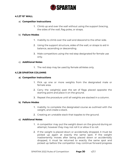

#### **4.1.27 10' WALL**

#### a) **Competitor Instructions**

1. Climb up and over the wall without using the support bracing, the sides of the wall, flag poles, or straps.

#### b) **Failure Modes**

- 1. Inability to climb over the wall and descend to the other side.
- 2. Using the support structure, sides of the wall, or straps to aid in balance, ascending or descending.
- 3. Male competitors using the red step designated for female use only.

#### c) **Additional Notes**

1. The red step may be used by female athletes only.

#### **4.1.28 SPARTAN COLUMNS**

#### **a) Competitor Instructions**

- 1. Pick up one or more weights from the designated male or female area.
- 2. Carry the weight(s) past the set of flags placed opposite the starting point and place it on the ground.
- 3. Repeat the procedure until all weights are stacked in a column.

#### **b) Failure Modes**

- 1. Inability to complete the designated course as outlined with the weight, and create a stack.
- 2. Creating an unstable stack that topples to the ground.

#### **c) Additional Notes**

- 1. A competitor may put the weight down on the ground during an attempt, however they may not roll it or allow it to roll.
- 2. If the weight is placed down or accidentally dropped, it must be picked up again at exactly the same spot. If the weight inadvertently moves after being placed down or accidentally dropped, it must be returned to exactly the same spot and picked up before the competitor may continue forward progress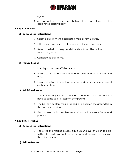

again.

3. All competitors must start behind the flags placed at the designated starting point.

#### **4.1.29 SLAM BALL**

## **a) Competitor Instructions**

- 1. Select a ball from the designated male or female area.
- 2. Lift the ball overhead to full extension of knees and hips.
- 3. Return the ball to the ground directly in front. The ball must touch the ground.
- 4. Complete 15 ball slams.

#### **b) Failure Modes**

- 1. Inability to complete 15 ball slams.
- 2. Failure to lift the ball overhead to full extension of the knees and hips.
- 3. Failure to return the ball to the ground during the final phase of each repetition.

#### **c) Additional Notes**

- 1. The athlete may catch the ball on a rebound. The ball does not need to come to a full stop on the ground.
- 2. The ball can be slammed, dropped, or placed on the ground from the overhead position.
- 3. Each missed or incomplete repetition shall receive a 30 second penalty.

#### **4.1.30 IRISH TABLES**

#### **a) Competitor Instructions**

1. Following the marked course, climb up and over the Irish Table(s) to the other side, without using the support bracing, the sides of the table, or straps.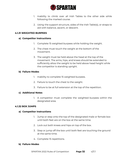

- 1. Inability to climb over all Irish Tables to the other side while following the marked course.
- 2. Using the support structure, sides of the Irish Table(s), or straps to aid with balance, ascent, or descent.

## **4.1.31 WEIGHTED BURPEES**

## **a) Competitor Instructions**

- 1. Complete 15 weighted burpees while holding the weight.
- 2. The chest must touch the weight at the bottom of the movement.
- 3. The weight must be held above the head at the top of the movement. The arms, hips, and knees should be extended to sufficiently allow the weight to be held above head height while the competitor is standing upright.

## **b) Failure Modes**

- 1. Inability to complete 15 weighted burpees.
- 2. Failure to touch the chest to the weight.
- 3. Failure to be at full extension at the top of the repetition.

## **c) Additional Notes**

1. A competitor must complete the weighted burpees within the designated area.

## **4.1.32 BOX JUMPS**

## **a) Competitor Instructions**

- 1. Jump or step onto the top of the designated male or female box until both feet are on the box at the same time.
- 2. Lock out both knees and hips on top of the box.
- 3. Step or jump off the box until both feet are touching the ground at the same time.
- 4. Complete 15 repetitions.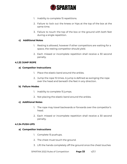

- 1. Inability to complete 15 repetitions.
- 2. Failure to lock out the knees or hips at the top of the box at the same time.
- 3. Failure to touch the top of the box or the ground with both feet during a single repetition.

## **c) Additional Notes**

- 1. Resting is allowed, however if other competitors are waiting for a space, the resting competitor should yield.
- 2. Each missed or incomplete repetition shall receive a 30 second penalty.

## **4.1.33 JUMP ROPE**

#### **a) Competitor Instructions**

- 1. Place the elastic band around the ankles.
- 2. Jump the rope 15 times. A jump is defined as swinging the rope over the head and beneath the feet in any direction.

#### **b) Failure Modes**

- 1. Inability to complete 15 jumps.
- 2. Not placing the elastic band around the ankles.

## **c) Additional Notes**

- 1. The rope may travel backwards or forwards over the competitor's head.
- 2. Each missed or incomplete repetition shall receive a 30 second penalty.

## **4.1.34 PUSH-UPS**

#### **a) Competitor Instructions**

- 1. Complete 15 pushups.
- 2. The chest must touch the ground.
- 3. Lift the hands completely off the ground once the chest touches

SPARTAN 2022 Rules of Competition **Page 33** v21.1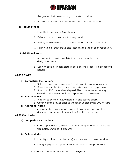

the ground, before returning to the start position.

4. Elbows and knees must be locked out at the top position.

## **b) Failure Modes**

- 1. Inability to complete 15 push ups.
- 2. Failure to touch the chest to the ground
- 3. Failing to release the hands at the bottom of each repetition.
- 4. Failing to lock out elbows and knees at the top of each repetition.

## **c) Additional Notes**

- 1. A competitor must complete the push-ups within the designated area.
- 2. Each missed or incomplete repetition shall receive a 30 second penalty.

## **4.1.35 ROWER**

## **a) Competitor Instructions**

- 1. Select a rower and make any foot strap adjustments as needed.
- 2. Press the start button to start the distance counting process.
- 3. Row until 200 meters has elapsed. The competitor must stay seated on the rower until the display reads 200 meters.

## **b) Failure Modes**

- 1. Inability to complete 200 meters in one seated effort.
- 2. Getting off the rower prior to the readout displaying 200 meters.

## **c) Additional Notes**

1. A competitor may change rowers at any point, however the distance counter must be reset to 0 on the new rower.

## **4.1.36 Car Hurdle**

## **a) Competitor Instructions**

1. Climb up and over the car(s) without using any support bracing, flag poles, or straps (if present).

- 1. Inability to climb over the car(s) and descend to the other side.
- 2. Using any type of support structure, poles, or straps to aid in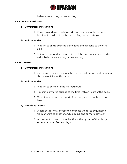

balance, ascending or descending.

## **4.1.37 Police Barricades**

## **a) Competitor Instructions**

1. Climb up and over the barricades without using the support bracing, the sides of the barricade, flag poles, or straps.

## **b) Failure Modes**

- 1. Inability to climb over the barricades and descend to the other side.
- 2. Using the support structure, sides of the barricades, or straps to aid in balance, ascending or descending.

## **4.1.38 Tire Hop**

## **a) Competitor Instructions**

1. Jump from the inside of one tire to the next tire without touching the area outside of the tires.

## **b) Failure Modes**

- 1. Inability to complete the marked route.
- 2. Touching any area outside of the tires with any part of the body.
- 3. Touching a tire with any part of the body except for hands and legs.

## **c) Additional Notes**

- 1. A competitor may choose to complete the route by jumping from one tire to another and skipping one or more between.
- 2. A competitor may not touch a tire with any part of their body other than their feet and legs.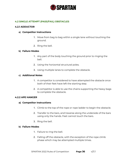

## **4.2 SINGLE ATTEMPT (PASS/FAIL) OBSTACLES**

## <span id="page-35-0"></span>**4.2.1 ADDUCTOR**

#### **a) Competitor Instructions**

- 1. Move from bag to bag within a single lane without touching the ground.
- 2. Ring the bell.

#### **b) Failure Modes**

- 1. Any part of the body touching the ground prior to ringing the bell.
- 2. Using the horizontal structural poles.
- 3. Using multiple lanes to complete the obstacle.

#### **c) Additional Notes**

- 1. A competitor is considered to have attempted the obstacle once both of their feet have left the starting step.
- 2. A competitor is able to use the chains supporting the heavy bags to complete the obstacle.

#### <span id="page-35-1"></span>**4.2.2 APE HANGER**

#### **a) Competitor Instructions**

- 1. Climb to the top of the rope or rope ladder to begin the obstacle.
- 2. Transfer to the bars, and traverse along the underside of the bars using only the hands. Feet cannot touch the bars.
- 3. Ring the bell.

- 1. Failure to ring the bell.
- 2. Falling off the obstacle, with the exception of the rope climb phase which may be attempted multiple times.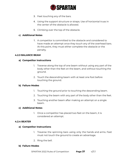

- 3. Feet touching any of the bars.
- 4. Using the support structure or straps. Use of horizontal truss in the center of the obstacle is allowed.
- 5. Climbing over the top of the obstacle.

## **c) Additional Notes**

1. A competitor is committed to the obstacle and considered to have made an attempt once they touch any of the overhead bars. At this point, they must either complete the obstacle or the penalty.

## <span id="page-36-0"></span>**4.2.3 BALANCE BEAM**

## **a) Competitor Instructions**

- 1. Traverse along the top of one beam without using any part of the body other than the feet on the beam, and without touching the ground.
- 2. Touch the descending beam with at least one foot before touching the ground.

## **b) Failure Modes**

- 1. Touching the ground prior to touching the descending beam.
- 2. Touching the beam with any part of the body other than the feet.
- 3. Touching another beam after making an attempt on a single beam.

## **c) Additional Notes**

1. Once a competitor has placed two feet on the beam, it is considered an attempt.

## <span id="page-36-1"></span>**4.2.4 BEATER**

## **a) Competitor Instructions**

- 1. Traverse the spinning bars using only the hands and arms. Feet must not touch the ground to create an advantage.
- 2. Ring the bell.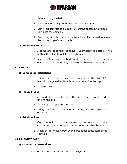

- 1. Failure to ring the bell.
- 2. Feet touching the ground to create an advantage.
- 3. Using vertical truss as a ladder to start the obstacle, traverse or complete the obstacle.
- 4. Feet or legs touching any of the bars, including traversing above the bars on top of the obstacle.

## **c) Additional Notes**

- 1. A competitor is considered to have attempted the obstacle once both of their feet have left the starting step.
- 2. A competitor may use horizontally located truss to start the obstacle, or transfer during the traverse phase of the obstacle.

## <span id="page-37-0"></span>**4.2.5 HELIX**

## **a) Competitor Instructions**

- 1. Using only the bars in a single lane (one side of the obstacle), laterally navigate the obstacle without touching the top.
- 2. Ring the bell.

## **b) Failure Modes**

- 1. Any part of the body touching the ground between the start and ringing the bell.
- 2. Touching the top of the obstacle.
- 3. Using bars from another lane, or crossing over the top of the obstacle.

## **c) Additional Notes**

- 1. Once four points of contact are made, a competitor is considered committed to an attempt and may not restart the obstacle.
- 2. A competitor must start with the first panel at the start of the obstacle.

## <span id="page-37-1"></span>**4.2.6 MONKEY BARS**

## **a) Competitor Instructions**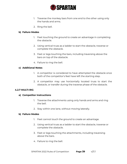

- 1. Traverse the monkey bars from one end to the other using only the hands and arms.
- 2. Ring the bell.

## **b) Failure Modes**

- 1. Feet touching the ground to create an advantage in completing the obstacle.
- 2. Using vertical truss as a ladder to start the obstacle, traverse or complete the obstacle.
- 3. Feet or legs touching the bars, including traversing above the bars on top of the obstacle.
- 4. Failure to ring the bell.

## **c) Additional Notes**

- 1. A competitor is considered to have attempted the obstacle once both of the competitor's feet have left the starting step.
- 2. A competitor may use horizontally located truss to start the obstacle, or transfer during the traverse phase of the obstacle.

## <span id="page-38-0"></span>**4.2.7 MULTI-RIG**

## **a) Competitor Instructions**

- 1. Traverse the attachments using only hands and arms and ring the bell.
- 2. Stay within one lane, without moving laterally.

- 1. Feet cannot touch the ground to create an advantage.
- 2. Using vertical truss as a ladder to start the obstacle, traverse or complete the obstacle.
- 3. Feet or legs touching the attachments, including traversing above the bars.
- 4. Failure to ring the bell.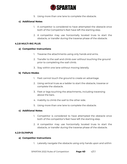

5. Using more than one lane to complete the obstacle.

## **c) Additional Notes**

- 1. A competitor is considered to have attempted the obstacle once both of the Competitor's feet have left the starting step.
- 2. A competitor may use horizontally located truss to start the obstacle, or transfer during the traverse phase of the obstacle.

#### <span id="page-39-0"></span>**4.2.8 MULTI-RIG PLUS**

#### **a) Competitor Instructions**

- 1. Traverse the attachments using only hands and arms.
- 2. Transfer to the wall and climb over without touching the ground prior to completing the wall climb.
- 3. Stay within one lane without moving laterally.

#### **b) Failure Modes**

- 1. Feet cannot touch the ground to create an advantage.
- 2. Using vertical truss as a ladder to start the obstacle, traverse or complete the obstacle.
- 3. Feet or legs touching the attachments, including traversing above the bars.
- 4. Inability to climb the wall to the other side.
- 5. Using more than one lane to complete the obstacle.

## **c) Additional Notes**

- 1. Competitor is considered to have attempted the obstacle once both of the competitor's feet have left the starting step.
- 2. A competitor may use horizontally located truss to start the obstacle, or transfer during the traverse phase of the obstacle.

## <span id="page-39-1"></span>**4.2.9 OLYMPUS**

#### **a) Competitor Instructions**

1. Laterally navigate the obstacle using only hands upon and within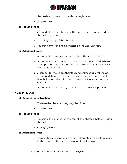

the holds and holes found within a single lane.

2. Ring the bell.

## **b) Failure Modes**

- 1. Any part of the body touching the ground between the start and the bell being rung.
- 2. Touching the top of the obstacle.
- 3. Touching any of the holds or holes on the wall with feet.

## **c) Additional Notes**

- 1. A competitor must start from or behind the starting step.
- 2. A competitor is committed to their lane and considered to have attempted the obstacle once both of the competitor's feet have left the starting step.
- 3. A competitor may place their feet and/or knees against the wall for support, however their feet or knees may not touch any of the handholds, including stepping upon or placing a knee into the cutouts.
- 4. A competitor may use any combination of the holds provided.

## <span id="page-40-0"></span>**4.2.10 PIPE LAIR**

## **a) Competitor Instructions**

- 1. Traverse the obstacle using only the pipes.
- 2. Ring the bell.

## **b) Failure Modes**

- 1. Touching the ground or the top of the obstacle before ringing the bell.
- 2. Changing lanes.

## **c) Additional Notes**

1. Competitors are considered to have attempted the obstacle once both feet are off the ground on or past the first pipe.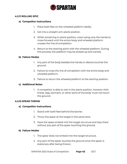

#### <span id="page-41-0"></span>**4.2.11 ROLLING EPIC**

#### **a) Competitor Instructions**

- 1. Place both feet on the wheeled platform (dolly).
- 2. Get into a straight arm plank position.
- 3. While remaining in plank position, crawl using only the hands to move forward until the entire body and wheeled platform crosses the line of completion.
- 4. Return to the starting point with the wheeled platform. During this process, the platform may be picked up and carried.

## **b) Failure Modes**

- 1. Any part of the body besides the hands or elbows touches the ground.
- 2. Failure to cross the line of completion with the entire body and wheeled platform.
- 3. Failure to return the wheeled platform to the starting position.

## **c) Additional Notes**

1. A competitor is able to rest in the plank position, however their knees, legs, stomach, or other parts of the body must not touch the ground.

#### <span id="page-41-1"></span>**4.2.12 SPEAR THROW**

## **a) Competitor Instructions**

- 1. Stand with both feet behind the barrier.
- 2. Throw the spear at the target in the same lane.
- 3. Have the spear embed into the target structure and stay there without any part of the spear touching the ground.

- 1. The spear does not embed into the target structure.
- 2. Any part of the spear touches the ground once the spear is stationary after being thrown.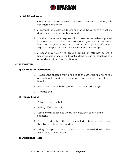

#### **c) Additional Notes**

- 1. Once a competitor releases the spear in a forward motion, it is considered an attempt.
- 2. A competitor is allowed to change lanes, however this must be done prior to an attempt being made.
- 3. It is the competitor's responsibility to ensure the tether is placed in a manner so it does not cause entanglement. If the tether becomes tangled during a competitor's attempt and affects the flight of the spear, it shall still be considered an attempt.
- 4. A spear may touch the ground during an attempt before it becomes stationary in the target, as long as it is not touching the ground once it becomes stationary.

## <span id="page-42-0"></span>**4.2.13 TWISTER**

#### **a) Competitor Instructions**

- 1. Traverse the obstacle from one end to the other using only hands on the handles, and the truss segments in between each of the handles.
- 2. Feet must not touch the ground to create an advantage.
- 3. Ring the bell.

#### **b) Failure Modes**

- 1. Failure to ring the bell.
- 2. Falling off the obstacle.
- 3. Using any truss besides the truss in between each handle segment.
- 4. Feet or legs touching the handles, including traversing on top of the obstacle above the handles.
- 5. Using the pipe structure that the handles are welded to in order to complete the obstacle.

## **c) Additional Notes**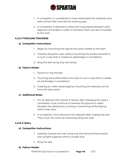

- 1. A competitor is considered to have attempted the obstacle once both of their feet have left the starting step.
- 2. A competitor is allowed to utilize the truss placed between each segment of handles in order to transition from one set of handles to the next.

#### <span id="page-43-0"></span>**4.2.14 TYROLEAN TRAVERSE**

#### **a) Competitor Instructions**

- 1. Begin by mounting the rope at the point closest to the start.
- 2. Traverse along the rope without touching the surface beneath it in such a way that it creates an advantage in completion.
- 3. Ring the bell using only the hands.

#### **b) Failure Modes**

- 1. Failure to ring the bell.
- 2. Touching the surface below the rope in such a way that it creates an advantage in completion.
- 3. Creating an unfair advantage by mounting the obstacle too far from the start point.

## **c) Additional Notes**

- 1. For an attempt that results in failure, after releasing the rope a competitor must continue to traverse the ground or water beneath the obstacle by running or swimming while staying within their lane.
- 2. A competitor must dismount the obstacle after ringing the bell. They must not continue traversing along the rope.

## <span id="page-43-1"></span>**4.2.15 Z WALL**

#### **a) Competitor Instructions**

- 1. Laterally traverse the wall using only the hand and foot blocks and upright supports within a single lane.
- 2. Ring the bell.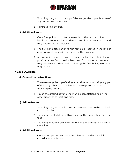

- 1. Touching the ground, the top of the wall, or the top or bottom of any cutouts within the wall.
- 2. Failure to ring the bell.

## **c) Additional Notes**

- 1. Once four points of contact are made on the hand and foot blocks, a competitor is considered committed to an attempt and may not restart the obstacle.
- 2. The first hand block and the first foot block located in the lane of attempt must be used when starting the traverse.
- 3. A competitor does not need to use all the hand and foot blocks provided apart from the first hand and foot blocks. A competitor may skip over all other holds, including the final holds, in order to ring the bell.

## **4.2.16 SLACKLINE**

## **a) Competitor Instructions**

- 1. Traverse along the top of a single slackline without using any part of the body other than the feet on the strap, and without touching the ground.
- 2. Touch the ground beyond the marked completion line on the other side with at least one foot.

## **b) Failure Modes**

- 1. Touching the ground with one or more feet prior to the marked completion line.
- 2. Touching the slack line with any part of the body other than the feet.
- 3. Touching another slack line after making an attempt on a single slack line.

## **c) Additional Notes**

1. Once a competitor has placed two feet on the slackline, it is considered an attempt.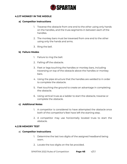

#### **4.2.17 MONKEY IN THE MIDDLE**

#### **a) Competitor Instructions**

- 1. Traverse the obstacle from one end to the other using only hands on the handles, and the truss segments in between each of the handles.
- 2. The monkey bars must be traversed from one end to the other using only the hands and arms.
- 3. Ring the bell.

#### **b) Failure Modes**

- 1. Failure to ring the bell.
- 2. Falling off the obstacle.
- 3. Feet or legs touching the handles or monkey bars, including traversing on top of the obstacle above the handles or monkey bars.
- 4. Using the pipe structure that the handles are welded to in order to complete the obstacle.
- 5. Feet touching the ground to create an advantage in completing the obstacle.
- 6. Using vertical truss as a ladder to start the obstacle, traverse or complete the obstacle.

## **c) Additional Notes**

- 1. A competitor is considered to have attempted the obstacle once both of the competitor's feet have left the starting step.
- 2. A competitor may use horizontally located truss to start the obstacle.

#### **4.2.18 MEMORY TEST**

#### a) **Competitor Instructions**

- 1. Determine the last two digits of the assigned headband being worn.
- 2. Locate the two digits on the list provided.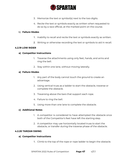

- 3. Memorize the text or symbol(s) next to the two digits.
- 4. Recite the text or symbols exactly as written when requested to do so by a race official, at the marked point on the course.

#### b) **Failure Modes**

- 1. Inability to recall and recite the text or symbols exactly as written.
- 2. Writing or otherwise recording the text or symbols to aid in recall.

#### **4.2.19 LOW RIDER**

#### **a) Competitor Instructions**

- 1. Traverse the attachments using only feet, hands, and arms and ring the bell.
- 2. Stay within one lane, without moving laterally.

#### **a) Failure Modes**

- 1. Any part of the body cannot touch the ground to create an advantage.
- 2. Using vertical truss as a ladder to start the obstacle, traverse or complete the obstacle.
- 3. Traversing above the bars that support each rope.
- 4. Failure to ring the bell.
- 5. Using more than one lane to complete the obstacle.

#### **c) Additional Notes**

- 1. A competitor is considered to have attempted the obstacle once both of the Competitor's feet have left the starting step.
- 2. A competitor may use horizontally located truss to start the obstacle, or transfer during the traverse phase of the obstacle.

#### <span id="page-46-0"></span>**4.2.20 TARZAN SWING**

#### **a) Competitor Instructions**

1. Climb to the top of the rope or rope ladder to begin the obstacle.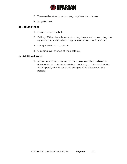

- 2. Traverse the attachments using only hands and arms.
- 3. Ring the bell.

## **b) Failure Modes**

- 1. Failure to ring the bell.
- 2. Falling off the obstacle, except during the ascent phase using the rope or rope ladder, which may be attempted multiple times.
- 3. Using any support structure.
- 4. Climbing over the top of the obstacle.

## **c) Additional Notes**

1. A competitor is committed to the obstacle and considered to have made an attempt once they touch any of the attachments. At this point, they must either complete the obstacle or the penalty.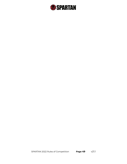

SPARTAN 2022 Rules of Competition **Page 49** v21.1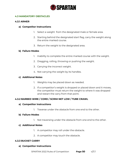

## **4.3 MANDATORY OBSTACLES**

#### <span id="page-49-0"></span>**4.3.1 ARMER**

#### **a) Competitor Instructions**

- 1. Select a weight from the designated male or female area.
- 2. Starting behind the designated start flag, carry the weight along the entire marked course.
- 3. Return the weight to the designated area.

#### **b) Failure Modes**

- 1. Inability to complete the entire marked course with the weight.
- 2. Dragging, rolling, throwing or pushing the weight.
- 3. Carrying the incorrect weight.
- 4. Not carrying the weight by its handles.

#### **c) Additional Notes**

- 1. Weights may be placed down as needed.
- 2. If a competitor's weight is dropped or placed down and it moves, the competitor must return the weight to where it was dropped and restart the carry from that point.

## <span id="page-49-1"></span>**4.3.2 BARBED WIRE / CORD / SCRIM NET LOW / TUBE CRAWL**

#### **a) Competitor Instructions**

1. Traverse under the obstacle from one end to the other.

#### **b) Failure Modes**

1. Not traversing under the obstacle from one end to the other.

#### **c) Additional Notes**

- 1. A competitor may roll under the obstacle.
- 2. A competitor may touch the obstacle.

#### **4.3.3 BUCKET CARRY**

#### **a) Competitor Instructions**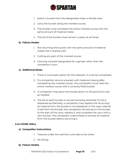

- 1. Select a bucket from the designated male or female area.
- 2. Carry the bucket along the marked course.
- 3. The bucket must complete the entire marked course with the same amount of material inside.
- 4. The lid of the bucket must remain in place at all times.

#### **b) Failure Modes**

- 1. Not returning the bucket with the same amount of material inside that it started with.
- 2. Cutting any part of the marked course.
- 3. Carrying a bucket designated for a gender other than the competitor's own.

#### **c) Additional Notes**

- 1. There is no burpee option for this obstacle. It must be completed.
- 2. If a competitor returns a bucket with material missing after completing the marked course , the competitor must redo the entire marked course with a correctly filled bucket.
- 3. A competitor may place the bucket down on the ground to rest as needed.
- 4. The lid on each bucket is not permanently attached. If a lid is displaced accidentally, a competitor may replace the lid as long as material from the bucket is not displaced. In the case material is lost from the bucket, the competitor should return the bucket to the start of the carry, replace it, and complete the carry with a new bucket. The competitor is permitted to remove all material from the bucket before returning it.

## <span id="page-50-0"></span>**4.3.4 DUNK WALL**

## **a) Competitor Instructions**

- 1. Traverse under the wall from one side to the other.
- 2. No diving.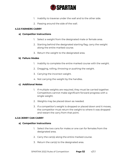

- 1. Inability to traverse under the wall and to the other side.
- 2. Passing around the side of the wall.

#### <span id="page-51-0"></span>**4.3.5 FARMERS CARRY**

#### **a) Competitor Instructions**

- 1. Select a weight from the designated male or female area.
- 2. Starting behind the designated starting flag, carry the weight along the entire marked course.
- 3. Return the weight to the designated area.

#### **b) Failure Modes**

- 1. Inability to complete the entire marked course with the weight.
- 2. Dragging, rolling, throwing or pushing the weight.
- 3. Carrying the incorrect weight.
- 4. Not carrying the weight by the handles.

#### **c) Additional Notes**

- 1. If multiple weights are required, they must be carried together. Competitors cannot make significant forward progress with a single weight.
- 2. Weights may be placed down as needed.
- 3. If a competitor's weight is dropped or placed down and it moves, the competitor must return the weight to where it was dropped and restart the carry from that point.

#### <span id="page-51-1"></span>**4.3.6 JERRY CAN CARRY**

#### **a) Competitor Instructions**

- 1. Select the two cans for males or one can for females from the designated area.
- 2. Carry the can(s) along the entire marked course.
- 3. Return the can(s) to the designated area.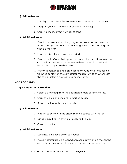

## **b) Failure Modes**

- 1. Inability to complete the entire marked course with the can(s).
- 2. Dragging, rolling, throwing or pushing the can(s)
- 3. Carrying the incorrect number of cans.

## **c) Additional Notes**

- 1. If multiple cans are required, they must be carried at the same time. A competitor must not make significant forward progress with a single can.
- 2. Cans may be placed down as needed.
- 3. If a competitor's can is dropped or placed down and it moves, the competitor must return the can to where it was dropped and restart the carry from that point.
- 4. If a can is damaged and a significant amount of water is spilled from the container, the competitor must return to the start with the can(s), select a new can(s), and start over.

## <span id="page-52-0"></span>**4.3.7 LOG CARRY**

## **a) Competitor Instructions**

- 1. Select a single log from the designated male or female area.
- 2. Carry the log along the entire marked course.
- 3. Return the log to the designated area.

## **b) Failure Modes**

- 1. Inability to complete the entire marked course with the log.
- 2. Dragging, rolling, throwing, or pushing the log.
- 3. Carrying the incorrect log.

## **c) Additional Notes**

- 1. Logs may be placed down as needed.
- 2. If a competitor's log is dropped or placed down and it moves, the competitor must return the log to where it was dropped and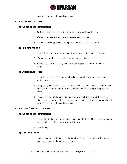

restart the carry from that point.

## <span id="page-53-0"></span>**4.3.8 SANDBAG CARRY**

## **a) Competitor Instructions**

- 1. Select a bag from the designated male or female area.
- 2. Carry the bag along the entire marked course.
- 3. Return the bag to the designated male or female area.

#### **b) Failure Modes**

- 1. Inability to complete the entire marked course with the bag.
- 2. Dragging, rolling, throwing, or pushing a bag.
- 3. Carrying an incorrectly designated bag or incorrect number of bags.

#### **a) Additional Notes**

- 1. If multiple bags are required to be carried, they must be carried at the same time.
- 2. Bags may be placed down as needed, however a competitor can not make significant forward progress with a single bag at any time.
- 3. If a competitor's bag is dropped or placed down and it moves, the competitor must return the bag to where it was dropped and restart the carry from that point.

## <span id="page-53-1"></span>**4.3.9 SWIM / WATER CROSSING**

#### **a) Competitor Instructions**

- 1. Pass through the water from one end to the other while staying within the marked course at all times.
- 2. No diving.

#### **b) Failure Modes**

1. Not staying within the boundaries of the obstacle, course markings, or skirting the obstacle.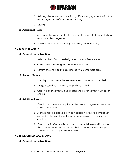

- 2. Skirting the obstacle to avoid significant engagement with the water, regardless of the course marking.
- 3. Diving.

## **c) Additional Notes**

- 1. A competitor may reenter the water at the point of exit if skirting was forced by congestion.
- 2. Personal Floatation devices (PFDs) may be mandatory.

## **4.3.10 CHAIN CARRY**

## **a) Competitor Instructions**

- 1. Select a chain from the designated male or female area.
- 2. Carry the chain along the entire marked course.
- 3. Return the chain to the designated male or female area.

## **b) Failure Modes**

- 1. Inability to complete the entire marked course with the chain.
- 2. Dragging, rolling, throwing, or pushing a chain.
- 3. Carrying an incorrectly designated chain or incorrect number of chains.

## **a) Additional Notes**

- 1. If multiple chains are required to be carried, they must be carried at the same time.
- 2. A chain may be placed down as needed, however a competitor can not make significant forward progress with a single chain at any time.
- 3. If a competitor's chain is dropped or placed down and it moves, the competitor must return the chain to where it was dropped and restart the carry from that point.

## **4.3.11 WEIGHTED LOW CRAWL**

## **a) Competitor Instructions**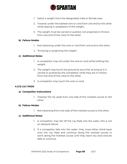

- 1. Select a weight from the designated male or female area.
- 2. Traverse under the barbed wire or cord from one end to the other while staying in possession of the weight.
- 3. The weight must be carried or pushed, not projected or thrown, from one end of the crawl to the other.

#### **b) Failure Modes**

- 1. Not traversing under the wire or cord from one end to the other.
- 2. Throwing or projecting the weight.

#### **c) Additional Notes**

- 1. A competitor may roll under the wire or cord while holding the weight.
- 2. The weight may touch the ground at any time, as long as it is carried or pushed by the competitor while they are in motion from one end of the crawl to the other.
- 3. A competitor may touch the wire or cord.

## **4.3.12 LILY PADS**

#### **a) Competitor Instructions**

1. Traverse the lily pads from one side of the marked course to the other.

#### **b) Failure Modes**

1. Not traversing from one side of the marked course to the other.

## **c) Additional Notes**

- 1. A competitor may fall off the Lily Pads into the water, this is not an obstacle failure.
- 2. If a competitor falls into the water, they must either climb back onto the Lily Pads and continue along the marked course, or swim along the marked course until they reach dry land and are able to continue.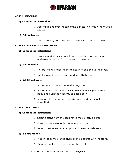

#### **4.3.13 CLIFF CLIMB**

#### **a) Competitor Instructions**

1. Ascend up and over the top of the cliff, staying within the marked course.

#### **b) Failure Modes**

1. Not ascending from one side of the marked course to the other.

## **4.3.14 CARGO NET GROUND CRAWL**

## **a) Competitor Instructions**

1. Traverse under the cargo net, with the entire body passing underneath the net, from one end to the other.

#### **b) Failure Modes**

- 1. Not traversing under the cargo net from one end to the other.
- 2. Not keeping the entire body underneath the net.

#### **c) Additional Notes**

- 1. A competitor may roll under the cargo net.
- 2. A competitor may touch the cargo net with any part of their body, and push the net away to clear a path.
- 3. Moving with any part of the body uncovered by the net is not permitted.

## **4.3.15 STONE CARRY**

## **a) Competitor Instructions**

- 1. Select a stone from the designated male or female area.
- 2. Carry the stone along the entire marked course.
- 3. Return the stone to the designated male or female area.

- 1. Inability to complete the entire marked course with the stone.
- 2. Dragging, rolling, throwing, or pushing a stone.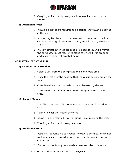

3. Carrying an incorrectly designated stone or incorrect number of stones.

## **c) Additional Notes**

- 1. If multiple stones are required to be carried, they must be carried at the same time.
- 2. Stones may be placed down as needed, however a competitor can not make significant forward progress with a single stone at any time.
- 3. If a competitor's stone is dropped or placed down and it moves, the competitor must return the stone to where it was dropped and restart the carry from that point.

## **4.3.16 WEIGHTED VEST RUN**

## **a) Competitor Instructions**

- 1. Select a vest from the designated male or female area.
- 2. Place the vest over the head so that the vest is being worn on the torso.
- 3. Complete the entire marked course while wearing the vest.
- 4. Remove the vest, and return it to the designated male or female area.

## **b) Failure Modes**

- 1. Inability to complete the entire marked course while wearing the vest.
- 2. Failing to wear the vest on the torso.
- 3. Removing and rolling, throwing, dragging, or pushing the vest.
- 4. Wearing an incorrectly designated vest.

## **a) Additional Notes**

- 1. Vests may be removed as needed, however a competitor can not make significant forward progress without the vest being worn at any time.
- 2. If a vest moves for any reason while removed, the competitor

SPARTAN 2022 Rules of Competition **Page 58** v21.1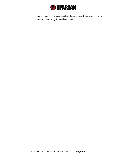

must return the vest to the place where it was removed and restart the carry from that point.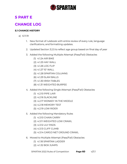

## <span id="page-59-0"></span>**5 PART E**

## **CHANGE LOG**

## <span id="page-59-1"></span>**5.1 CHANGE HISTORY**

- a) 6.11.19
	- 1. New format of rulebook with entire review of every rule, language clarifications, and formatting updates.
	- 2. Updated Section 3.2.5 to reflect age group based on final day of year
	- 3. Added the following Multiple Attempt (Pass/Fail) Obstacles
		- (1) 4.1.24 AIR BIKE
		- (2) 4.1.25 HAY WALL
		- (3) 4.1.26 LOG FLIP
		- (4) 4.1.27 10' WALL
		- (5) 4.1.28 SPARTAN COLUMNS
		- (6) 4.1.29 SLAM BALLS
		- (7) 4.1.30 IRISH TABLES
		- (8) 4.1.31 WEIGHTED BURPEE
	- 4. Added the following Single Attempt (Pass/Fail) Obstacles
		- (1) 4.2.10 PIPE LAIR
		- (2) 4.2.16 SLACKLINE
		- (3) 4.2.17 MONKEY IN THE MIDDLE
		- (4) 4.2.18 MEMORY TEST
		- (5) 4.2.19 LOW RIDER
	- 5. Added the following Mandatory Rules
		- (1) 4.3.10 CHAIN CARRY
		- (2) 4.3.11 WEIGHTED LOW CRAWL
		- (3) 4.3.12 LILY PADS
		- (4) 4.3.13 CLIFF CLIMB
		- (5) 4.3.14 CARGO NET GROUND CRAWL
	- 6. Moved to Multiple Attempt (Pass/Fail) Obstacles
		- (1) 4.1.18 SPARTAN LADDER
		- (2) 4.1.32 BOX JUMPS